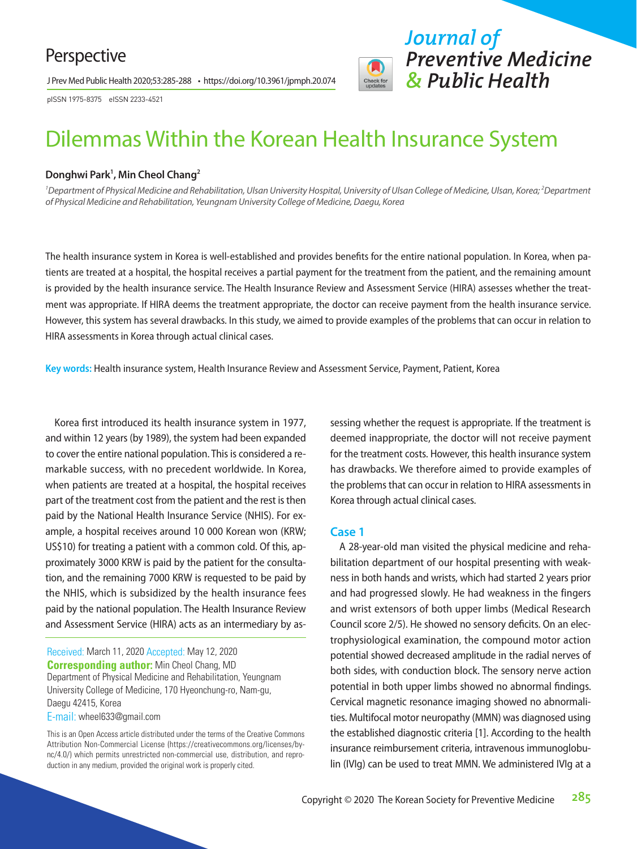# Perspective

J Prev Med Public Health 2020;53:285-288 • https://doi.org/10.3961/jpmph.20.074

pISSN 1975-8375 eISSN 2233-4521

# Dilemmas Within the Korean Health Insurance System

#### **Donghwi Park1 , Min Cheol Chang2**

<sup>1</sup> Department of Physical Medicine and Rehabilitation, Ulsan University Hospital, University of Ulsan College of Medicine, Ulsan, Korea; <sup>2</sup> Department *of Physical Medicine and Rehabilitation, Yeungnam University College of Medicine, Daegu, Korea*

The health insurance system in Korea is well-established and provides benefits for the entire national population. In Korea, when patients are treated at a hospital, the hospital receives a partial payment for the treatment from the patient, and the remaining amount is provided by the health insurance service. The Health Insurance Review and Assessment Service (HIRA) assesses whether the treatment was appropriate. If HIRA deems the treatment appropriate, the doctor can receive payment from the health insurance service. However, this system has several drawbacks. In this study, we aimed to provide examples of the problems that can occur in relation to HIRA assessments in Korea through actual clinical cases.

**Key words:** Health insurance system, Health Insurance Review and Assessment Service, Payment, Patient, Korea

Korea first introduced its health insurance system in 1977, and within 12 years (by 1989), the system had been expanded to cover the entire national population. This is considered a remarkable success, with no precedent worldwide. In Korea, when patients are treated at a hospital, the hospital receives part of the treatment cost from the patient and the rest is then paid by the National Health Insurance Service (NHIS). For example, a hospital receives around 10 000 Korean won (KRW; US\$10) for treating a patient with a common cold. Of this, approximately 3000 KRW is paid by the patient for the consultation, and the remaining 7000 KRW is requested to be paid by the NHIS, which is subsidized by the health insurance fees paid by the national population. The Health Insurance Review and Assessment Service (HIRA) acts as an intermediary by as-

Received: March 11, 2020 Accepted: May 12, 2020 **Corresponding author:** Min Cheol Chang, MD Department of Physical Medicine and Rehabilitation, Yeungnam University College of Medicine, 170 Hyeonchung-ro, Nam-gu, Daegu 42415, Korea

E-mail: wheel633@gmail.com

sessing whether the request is appropriate. If the treatment is deemed inappropriate, the doctor will not receive payment for the treatment costs. However, this health insurance system has drawbacks. We therefore aimed to provide examples of the problems that can occur in relation to HIRA assessments in Korea through actual clinical cases.

*Journal of* 

*Preventive Medicine* 

*& Public Health*

#### **Case 1**

A 28-year-old man visited the physical medicine and rehabilitation department of our hospital presenting with weakness in both hands and wrists, which had started 2 years prior and had progressed slowly. He had weakness in the fingers and wrist extensors of both upper limbs (Medical Research Council score 2/5). He showed no sensory deficits. On an electrophysiological examination, the compound motor action potential showed decreased amplitude in the radial nerves of both sides, with conduction block. The sensory nerve action potential in both upper limbs showed no abnormal findings. Cervical magnetic resonance imaging showed no abnormalities. Multifocal motor neuropathy (MMN) was diagnosed using the established diagnostic criteria [1]. According to the health insurance reimbursement criteria, intravenous immunoglobulin (IVIg) can be used to treat MMN. We administered IVIg at a

This is an Open Access article distributed under the terms of the Creative Commons Attribution Non-Commercial License (https://creativecommons.org/licenses/bync/4.0/) which permits unrestricted non-commercial use, distribution, and reproduction in any medium, provided the original work is properly cited.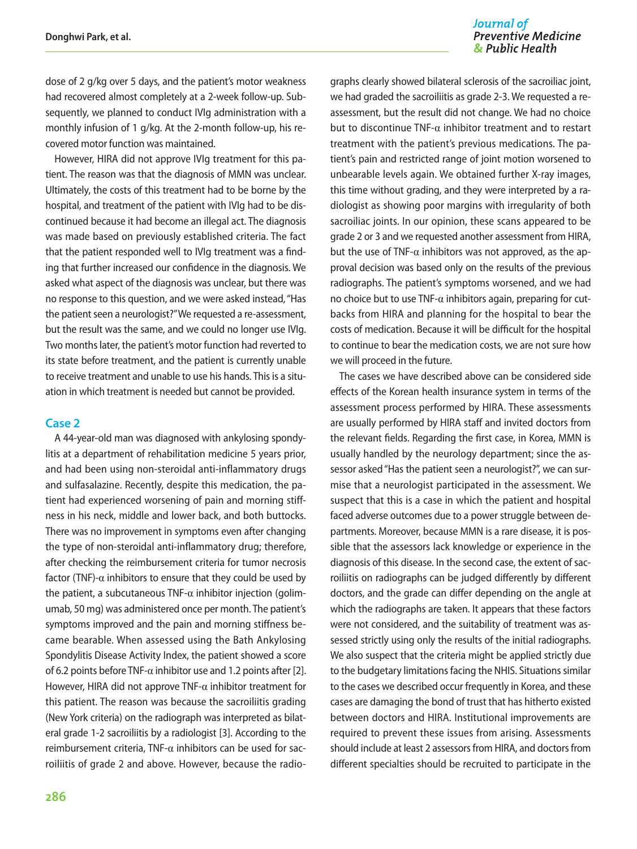#### Journal of **Preventive Medicine** & Public Health

dose of 2 g/kg over 5 days, and the patient's motor weakness had recovered almost completely at a 2-week follow-up. Subsequently, we planned to conduct IVIg administration with a monthly infusion of 1 g/kg. At the 2-month follow-up, his recovered motor function was maintained.

However, HIRA did not approve IVIg treatment for this patient. The reason was that the diagnosis of MMN was unclear. Ultimately, the costs of this treatment had to be borne by the hospital, and treatment of the patient with IVIg had to be discontinued because it had become an illegal act. The diagnosis was made based on previously established criteria. The fact that the patient responded well to IVIg treatment was a finding that further increased our confidence in the diagnosis. We asked what aspect of the diagnosis was unclear, but there was no response to this question, and we were asked instead, "Has the patient seen a neurologist?" We requested a re-assessment, but the result was the same, and we could no longer use IVIg. Two months later, the patient's motor function had reverted to its state before treatment, and the patient is currently unable to receive treatment and unable to use his hands. This is a situation in which treatment is needed but cannot be provided.

#### **Case 2**

A 44-year-old man was diagnosed with ankylosing spondylitis at a department of rehabilitation medicine 5 years prior, and had been using non-steroidal anti-inflammatory drugs and sulfasalazine. Recently, despite this medication, the patient had experienced worsening of pain and morning stiffness in his neck, middle and lower back, and both buttocks. There was no improvement in symptoms even after changing the type of non-steroidal anti-inflammatory drug; therefore, after checking the reimbursement criteria for tumor necrosis factor (TNF)- $\alpha$  inhibitors to ensure that they could be used by the patient, a subcutaneous TNF- $\alpha$  inhibitor injection (golimumab, 50 mg) was administered once per month. The patient's symptoms improved and the pain and morning stiffness became bearable. When assessed using the Bath Ankylosing Spondylitis Disease Activity Index, the patient showed a score of 6.2 points before TNF- $\alpha$  inhibitor use and 1.2 points after [2]. However, HIRA did not approve TNF- $\alpha$  inhibitor treatment for this patient. The reason was because the sacroiliitis grading (New York criteria) on the radiograph was interpreted as bilateral grade 1-2 sacroiliitis by a radiologist [3]. According to the reimbursement criteria, TNF- $\alpha$  inhibitors can be used for sacroiliitis of grade 2 and above. However, because the radio-

graphs clearly showed bilateral sclerosis of the sacroiliac joint, we had graded the sacroiliitis as grade 2-3. We requested a reassessment, but the result did not change. We had no choice but to discontinue TNF- $\alpha$  inhibitor treatment and to restart treatment with the patient's previous medications. The patient's pain and restricted range of joint motion worsened to unbearable levels again. We obtained further X-ray images, this time without grading, and they were interpreted by a radiologist as showing poor margins with irregularity of both sacroiliac joints. In our opinion, these scans appeared to be grade 2 or 3 and we requested another assessment from HIRA, but the use of TNF- $\alpha$  inhibitors was not approved, as the approval decision was based only on the results of the previous radiographs. The patient's symptoms worsened, and we had no choice but to use TNF-α inhibitors again, preparing for cutbacks from HIRA and planning for the hospital to bear the costs of medication. Because it will be difficult for the hospital to continue to bear the medication costs, we are not sure how we will proceed in the future.

The cases we have described above can be considered side effects of the Korean health insurance system in terms of the assessment process performed by HIRA. These assessments are usually performed by HIRA staff and invited doctors from the relevant fields. Regarding the first case, in Korea, MMN is usually handled by the neurology department; since the assessor asked "Has the patient seen a neurologist?", we can surmise that a neurologist participated in the assessment. We suspect that this is a case in which the patient and hospital faced adverse outcomes due to a power struggle between departments. Moreover, because MMN is a rare disease, it is possible that the assessors lack knowledge or experience in the diagnosis of this disease. In the second case, the extent of sacroiliitis on radiographs can be judged differently by different doctors, and the grade can differ depending on the angle at which the radiographs are taken. It appears that these factors were not considered, and the suitability of treatment was assessed strictly using only the results of the initial radiographs. We also suspect that the criteria might be applied strictly due to the budgetary limitations facing the NHIS. Situations similar to the cases we described occur frequently in Korea, and these cases are damaging the bond of trust that has hitherto existed between doctors and HIRA. Institutional improvements are required to prevent these issues from arising. Assessments should include at least 2 assessors from HIRA, and doctors from different specialties should be recruited to participate in the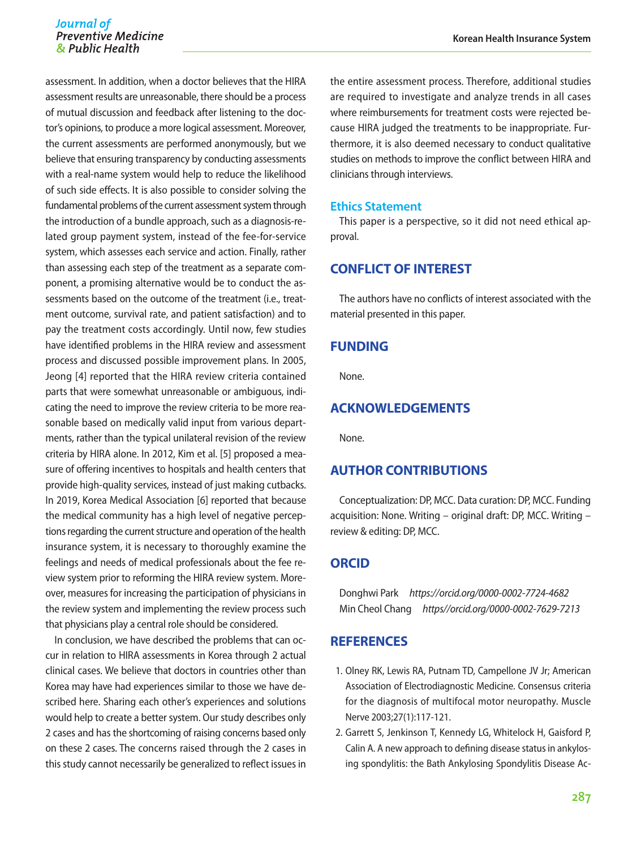#### Journal of **Preventive Medicine** & Public Health

assessment. In addition, when a doctor believes that the HIRA assessment results are unreasonable, there should be a process of mutual discussion and feedback after listening to the doctor's opinions, to produce a more logical assessment. Moreover, the current assessments are performed anonymously, but we believe that ensuring transparency by conducting assessments with a real-name system would help to reduce the likelihood of such side effects. It is also possible to consider solving the fundamental problems of the current assessment system through the introduction of a bundle approach, such as a diagnosis-related group payment system, instead of the fee-for-service system, which assesses each service and action. Finally, rather than assessing each step of the treatment as a separate component, a promising alternative would be to conduct the assessments based on the outcome of the treatment (i.e., treatment outcome, survival rate, and patient satisfaction) and to pay the treatment costs accordingly. Until now, few studies have identified problems in the HIRA review and assessment process and discussed possible improvement plans. In 2005, Jeong [4] reported that the HIRA review criteria contained parts that were somewhat unreasonable or ambiguous, indicating the need to improve the review criteria to be more reasonable based on medically valid input from various departments, rather than the typical unilateral revision of the review criteria by HIRA alone. In 2012, Kim et al. [5] proposed a measure of offering incentives to hospitals and health centers that provide high-quality services, instead of just making cutbacks. In 2019, Korea Medical Association [6] reported that because the medical community has a high level of negative perceptions regarding the current structure and operation of the health insurance system, it is necessary to thoroughly examine the feelings and needs of medical professionals about the fee review system prior to reforming the HIRA review system. Moreover, measures for increasing the participation of physicians in the review system and implementing the review process such that physicians play a central role should be considered.

In conclusion, we have described the problems that can occur in relation to HIRA assessments in Korea through 2 actual clinical cases. We believe that doctors in countries other than Korea may have had experiences similar to those we have described here. Sharing each other's experiences and solutions would help to create a better system. Our study describes only 2 cases and has the shortcoming of raising concerns based only on these 2 cases. The concerns raised through the 2 cases in this study cannot necessarily be generalized to reflect issues in the entire assessment process. Therefore, additional studies are required to investigate and analyze trends in all cases where reimbursements for treatment costs were rejected because HIRA judged the treatments to be inappropriate. Furthermore, it is also deemed necessary to conduct qualitative studies on methods to improve the conflict between HIRA and clinicians through interviews.

#### **Ethics Statement**

This paper is a perspective, so it did not need ethical approval.

# **CONFLICT OF INTEREST**

The authors have no conflicts of interest associated with the material presented in this paper.

# **FUNDING**

None.

#### **ACKNOWLEDGEMENTS**

None.

# **AUTHOR CONTRIBUTIONS**

Conceptualization: DP, MCC. Data curation: DP, MCC. Funding acquisition: None. Writing – original draft: DP, MCC. Writing – review & editing: DP, MCC.

#### **ORCID**

Donghwi Park *<https://orcid.org/0000-0002-7724-4682>* Min Cheol Chang *[https//orcid.org/0000-0002-7629-7213](https//orcid.org/0000-0002-7629-7213
)*

### **REFERENCES**

- 1. Olney RK, Lewis RA, Putnam TD, Campellone JV Jr; American Association of Electrodiagnostic Medicine. Consensus criteria for the diagnosis of multifocal motor neuropathy. Muscle Nerve 2003;27(1):117-121.
- 2. Garrett S, Jenkinson T, Kennedy LG, Whitelock H, Gaisford P, Calin A. A new approach to defining disease status in ankylosing spondylitis: the Bath Ankylosing Spondylitis Disease Ac-